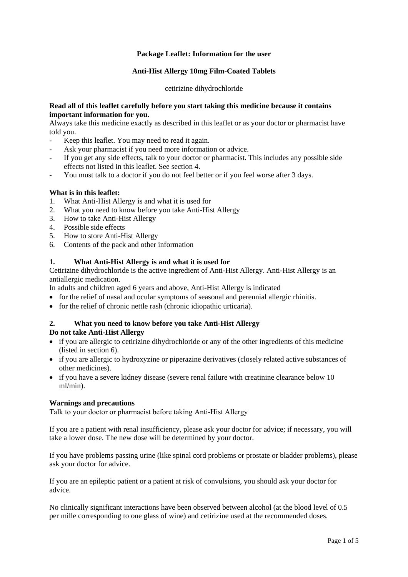# **Package Leaflet: Information for the user**

# **Anti-Hist Allergy 10mg Film-Coated Tablets**

### cetirizine dihydrochloride

### **Read all of this leaflet carefully before you start taking this medicine because it contains important information for you.**

Always take this medicine exactly as described in this leaflet or as your doctor or pharmacist have told you.

- Keep this leaflet. You may need to read it again.
- Ask your pharmacist if you need more information or advice.
- If you get any side effects, talk to your doctor or pharmacist. This includes any possible side effects not listed in this leaflet. See section 4.
- You must talk to a doctor if you do not feel better or if you feel worse after 3 days.

# **What is in this leaflet:**

- 1. What Anti-Hist Allergy is and what it is used for
- 2. What you need to know before you take Anti-Hist Allergy
- 3. How to take Anti-Hist Allergy
- 4. Possible side effects
- 5. How to store Anti-Hist Allergy
- 6. Contents of the pack and other information

# **1. What Anti-Hist Allergy is and what it is used for**

Cetirizine dihydrochloride is the active ingredient of Anti-Hist Allergy. Anti-Hist Allergy is an antiallergic medication.

In adults and children aged 6 years and above, Anti-Hist Allergy is indicated

- for the relief of nasal and ocular symptoms of seasonal and perennial allergic rhinitis.
- for the relief of chronic nettle rash (chronic idiopathic urticaria).

# **2. What you need to know before you take Anti-Hist Allergy**

# **Do not take Anti-Hist Allergy**

- if you are allergic to cetirizine dihydrochloride or any of the other ingredients of this medicine (listed in section 6).
- if you are allergic to hydroxyzine or piperazine derivatives (closely related active substances of other medicines).
- if you have a severe kidney disease (severe renal failure with creatinine clearance below 10 ml/min).

# **Warnings and precautions**

Talk to your doctor or pharmacist before taking Anti-Hist Allergy

If you are a patient with renal insufficiency, please ask your doctor for advice; if necessary, you will take a lower dose. The new dose will be determined by your doctor.

If you have problems passing urine (like spinal cord problems or prostate or bladder problems), please ask your doctor for advice.

If you are an epileptic patient or a patient at risk of convulsions, you should ask your doctor for advice.

No clinically significant interactions have been observed between alcohol (at the blood level of 0.5 per mille corresponding to one glass of wine) and cetirizine used at the recommended doses.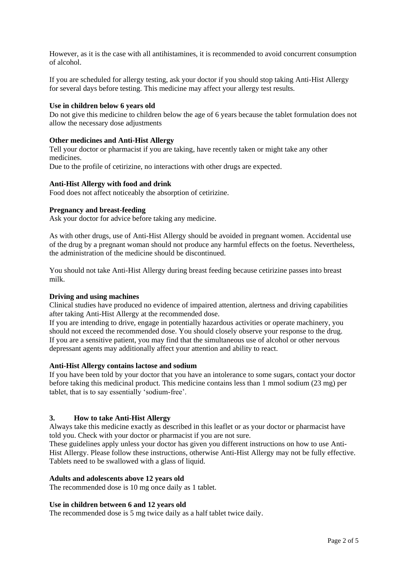However, as it is the case with all antihistamines, it is recommended to avoid concurrent consumption of alcohol.

If you are scheduled for allergy testing, ask your doctor if you should stop taking Anti-Hist Allergy for several days before testing. This medicine may affect your allergy test results.

#### **Use in children below 6 years old**

Do not give this medicine to children below the age of 6 years because the tablet formulation does not allow the necessary dose adjustments

#### **Other medicines and Anti-Hist Allergy**

Tell your doctor or pharmacist if you are taking, have recently taken or might take any other medicines.

Due to the profile of cetirizine, no interactions with other drugs are expected.

#### **Anti-Hist Allergy with food and drink**

Food does not affect noticeably the absorption of cetirizine.

#### **Pregnancy and breast-feeding**

Ask your doctor for advice before taking any medicine.

As with other drugs, use of Anti-Hist Allergy should be avoided in pregnant women. Accidental use of the drug by a pregnant woman should not produce any harmful effects on the foetus. Nevertheless, the administration of the medicine should be discontinued.

You should not take Anti-Hist Allergy during breast feeding because cetirizine passes into breast milk.

### **Driving and using machines**

Clinical studies have produced no evidence of impaired attention, alertness and driving capabilities after taking Anti-Hist Allergy at the recommended dose.

If you are intending to drive, engage in potentially hazardous activities or operate machinery, you should not exceed the recommended dose. You should closely observe your response to the drug. If you are a sensitive patient, you may find that the simultaneous use of alcohol or other nervous depressant agents may additionally affect your attention and ability to react.

#### **Anti-Hist Allergy contains lactose and sodium**

If you have been told by your doctor that you have an intolerance to some sugars, contact your doctor before taking this medicinal product. This medicine contains less than 1 mmol sodium (23 mg) per tablet, that is to say essentially 'sodium-free'.

#### **3. How to take Anti-Hist Allergy**

Always take this medicine exactly as described in this leaflet or as your doctor or pharmacist have told you. Check with your doctor or pharmacist if you are not sure.

These guidelines apply unless your doctor has given you different instructions on how to use Anti-Hist Allergy. Please follow these instructions, otherwise Anti-Hist Allergy may not be fully effective. Tablets need to be swallowed with a glass of liquid.

#### **Adults and adolescents above 12 years old**

The recommended dose is 10 mg once daily as 1 tablet.

#### **Use in children between 6 and 12 years old**

The recommended dose is 5 mg twice daily as a half tablet twice daily.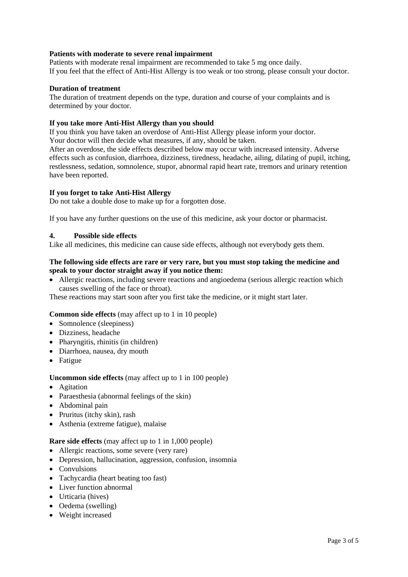# **Patients with moderate to severe renal impairment**

Patients with moderate renal impairment are recommended to take 5 mg once daily. If you feel that the effect of Anti-Hist Allergy is too weak or too strong, please consult your doctor.

# **Duration of treatment**

The duration of treatment depends on the type, duration and course of your complaints and is determined by your doctor.

# **If you take more Anti-Hist Allergy than you should**

If you think you have taken an overdose of Anti-Hist Allergy please inform your doctor. Your doctor will then decide what measures, if any, should be taken.

After an overdose, the side effects described below may occur with increased intensity. Adverse effects such as confusion, diarrhoea, dizziness, tiredness, headache, ailing, dilating of pupil, itching, restlessness, sedation, somnolence, stupor, abnormal rapid heart rate, tremors and urinary retention have been reported.

# **If you forget to take Anti-Hist Allergy**

Do not take a double dose to make up for a forgotten dose.

If you have any further questions on the use of this medicine, ask your doctor or pharmacist.

# **4. Possible side effects**

Like all medicines, this medicine can cause side effects, although not everybody gets them.

# **The following side effects are rare or very rare, but you must stop taking the medicine and speak to your doctor straight away if you notice them:**

 Allergic reactions, including severe reactions and angioedema (serious allergic reaction which causes swelling of the face or throat).

These reactions may start soon after you first take the medicine, or it might start later.

# **Common side effects** (may affect up to 1 in 10 people)

- Somnolence (sleepiness)
- Dizziness, headache
- Pharyngitis, rhinitis (in children)
- Diarrhoea, nausea, dry mouth
- Fatigue

# **Uncommon side effects** (may affect up to 1 in 100 people)

- Agitation
- Paraesthesia (abnormal feelings of the skin)
- Abdominal pain
- Pruritus (itchy skin), rash
- Asthenia (extreme fatigue), malaise

#### **Rare side effects** (may affect up to 1 in 1,000 people)

- Allergic reactions, some severe (very rare)
- Depression, hallucination, aggression, confusion, insomnia
- Convulsions
- Tachycardia (heart beating too fast)
- Liver function abnormal
- Urticaria (hives)
- Oedema (swelling)
- Weight increased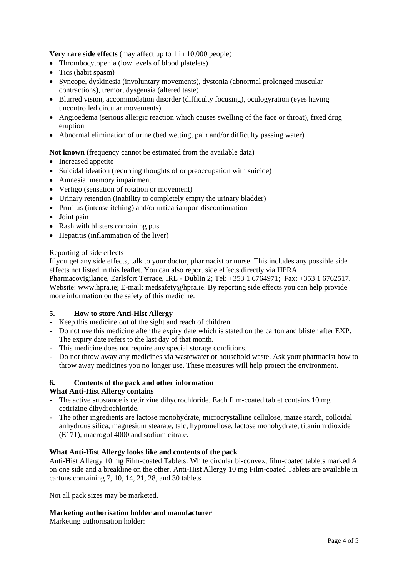**Very rare side effects** (may affect up to 1 in 10,000 people)

- Thrombocytopenia (low levels of blood platelets)
- Tics (habit spasm)
- Syncope, dyskinesia (involuntary movements), dystonia (abnormal prolonged muscular contractions), tremor, dysgeusia (altered taste)
- Blurred vision, accommodation disorder (difficulty focusing), oculogyration (eyes having uncontrolled circular movements)
- Angioedema (serious allergic reaction which causes swelling of the face or throat), fixed drug eruption
- Abnormal elimination of urine (bed wetting, pain and/or difficulty passing water)

# **Not known** (frequency cannot be estimated from the available data)

- Increased appetite
- Suicidal ideation (recurring thoughts of or preoccupation with suicide)
- Amnesia, memory impairment
- Vertigo (sensation of rotation or movement)
- Urinary retention (inability to completely empty the urinary bladder)
- Pruritus (intense itching) and/or urticaria upon discontinuation
- Joint pain
- Rash with blisters containing pus
- Hepatitis (inflammation of the liver)

# Reporting of side effects

If you get any side effects, talk to your doctor, pharmacist or nurse. This includes any possible side effects not listed in this leaflet. You can also report side effects directly via HPRA Pharmacovigilance, Earlsfort Terrace, IRL - Dublin 2; Tel: +353 1 6764971; Fax: +353 1 6762517. Website: [www.hpra.ie;](http://www.hpra.ie/) E-mail: [medsafety@hpra.ie.](mailto:medsafety@hpra.ie) By reporting side effects you can help provide more information on the safety of this medicine.

# **5. How to store Anti-Hist Allergy**

- Keep this medicine out of the sight and reach of children.
- Do not use this medicine after the expiry date which is stated on the carton and blister after EXP. The expiry date refers to the last day of that month.
- This medicine does not require any special storage conditions.
- Do not throw away any medicines via wastewater or household waste. Ask your pharmacist how to throw away medicines you no longer use. These measures will help protect the environment.

# **6. Contents of the pack and other information**

# **What Anti-Hist Allergy contains**

- The active substance is cetirizine dihydrochloride. Each film-coated tablet contains 10 mg cetirizine dihydrochloride.
- The other ingredients are lactose monohydrate, microcrystalline cellulose, maize starch, colloidal anhydrous silica, magnesium stearate, talc, hypromellose, lactose monohydrate, titanium dioxide (E171), macrogol 4000 and sodium citrate.

# **What Anti-Hist Allergy looks like and contents of the pack**

Anti-Hist Allergy 10 mg Film-coated Tablets: White circular bi-convex, film-coated tablets marked A on one side and a breakline on the other. Anti-Hist Allergy 10 mg Film-coated Tablets are available in cartons containing 7, 10, 14, 21, 28, and 30 tablets*.*

Not all pack sizes may be marketed.

# **Marketing authorisation holder and manufacturer**

Marketing authorisation holder: